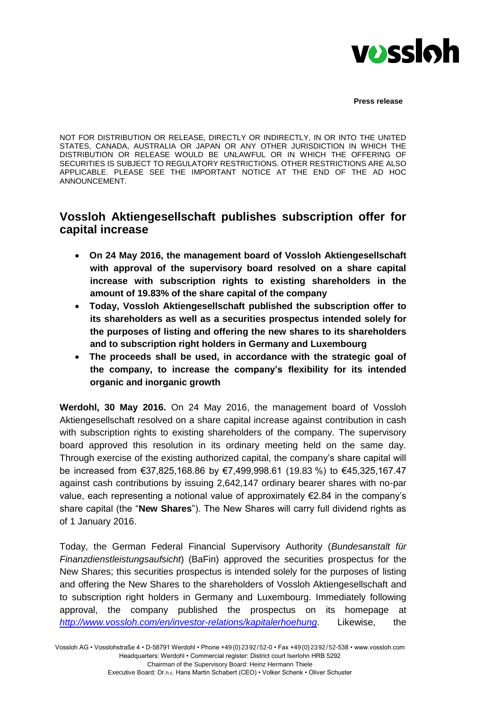

NOT FOR DISTRIBUTION OR RELEASE, DIRECTLY OR INDIRECTLY, IN OR INTO THE UNITED STATES, CANADA, AUSTRALIA OR JAPAN OR ANY OTHER JURISDICTION IN WHICH THE DISTRIBUTION OR RELEASE WOULD BE UNLAWFUL OR IN WHICH THE OFFERING OF SECURITIES IS SUBJECT TO REGULATORY RESTRICTIONS. OTHER RESTRICTIONS ARE ALSO APPLICABLE. PLEASE SEE THE IMPORTANT NOTICE AT THE END OF THE AD HOC ANNOUNCEMENT.

# **Vossloh Aktiengesellschaft publishes subscription offer for capital increase**

- **On 24 May 2016, the management board of Vossloh Aktiengesellschaft with approval of the supervisory board resolved on a share capital increase with subscription rights to existing shareholders in the amount of 19.83% of the share capital of the company**
- **Today, Vossloh Aktiengesellschaft published the subscription offer to its shareholders as well as a securities prospectus intended solely for the purposes of listing and offering the new shares to its shareholders and to subscription right holders in Germany and Luxembourg**
- **The proceeds shall be used, in accordance with the strategic goal of the company, to increase the company's flexibility for its intended organic and inorganic growth**

**Werdohl, 30 May 2016.** On 24 May 2016, the management board of Vossloh Aktiengesellschaft resolved on a share capital increase against contribution in cash with subscription rights to existing shareholders of the company. The supervisory board approved this resolution in its ordinary meeting held on the same day. Through exercise of the existing authorized capital, the company's share capital will be increased from €37,825,168.86 by €7,499,998.61 (19.83 %) to €45,325,167.47 against cash contributions by issuing 2,642,147 ordinary bearer shares with no-par value, each representing a notional value of approximately  $E$ 2.84 in the company's share capital (the "**New Shares**"). The New Shares will carry full dividend rights as of 1 January 2016.

Today, the German Federal Financial Supervisory Authority (*Bundesanstalt für Finanzdienstleistungsaufsicht*) (BaFin) approved the securities prospectus for the New Shares; this securities prospectus is intended solely for the purposes of listing and offering the New Shares to the shareholders of Vossloh Aktiengesellschaft and to subscription right holders in Germany and Luxembourg. Immediately following approval, the company published the prospectus on its homepage at *<http://www.vossloh.com/en/investor-relations/kapitalerhoehung>*. Likewise, the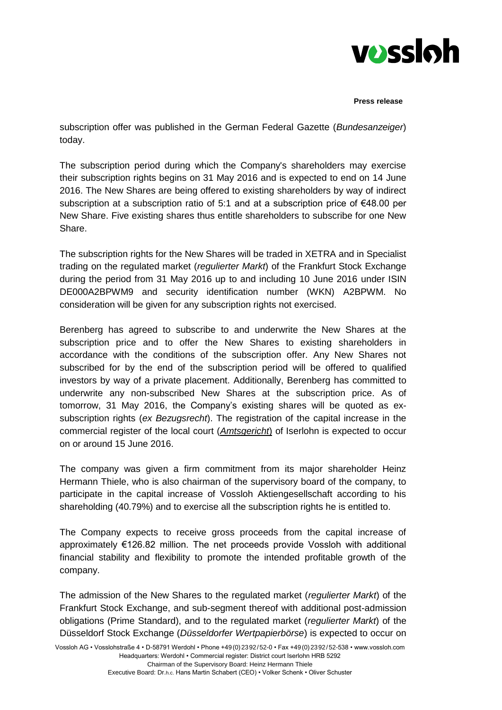

subscription offer was published in the German Federal Gazette (*Bundesanzeiger*) today.

The subscription period during which the Company's shareholders may exercise their subscription rights begins on 31 May 2016 and is expected to end on 14 June 2016. The New Shares are being offered to existing shareholders by way of indirect subscription at a subscription ratio of 5:1 and at a subscription price of  $\epsilon$ 48.00 per New Share. Five existing shares thus entitle shareholders to subscribe for one New Share.

The subscription rights for the New Shares will be traded in XETRA and in Specialist trading on the regulated market (*regulierter Markt*) of the Frankfurt Stock Exchange during the period from 31 May 2016 up to and including 10 June 2016 under ISIN DE000A2BPWM9 and security identification number (WKN) A2BPWM. No consideration will be given for any subscription rights not exercised.

Berenberg has agreed to subscribe to and underwrite the New Shares at the subscription price and to offer the New Shares to existing shareholders in accordance with the conditions of the subscription offer. Any New Shares not subscribed for by the end of the subscription period will be offered to qualified investors by way of a private placement. Additionally, Berenberg has committed to underwrite any non-subscribed New Shares at the subscription price. As of tomorrow, 31 May 2016, the Company's existing shares will be quoted as exsubscription rights (*ex Bezugsrecht*). The registration of the capital increase in the commercial register of the local court (*Amtsgericht*) of Iserlohn is expected to occur on or around 15 June 2016.

The company was given a firm commitment from its major shareholder Heinz Hermann Thiele, who is also chairman of the supervisory board of the company, to participate in the capital increase of Vossloh Aktiengesellschaft according to his shareholding (40.79%) and to exercise all the subscription rights he is entitled to.

The Company expects to receive gross proceeds from the capital increase of approximately €126.82 million. The net proceeds provide Vossloh with additional financial stability and flexibility to promote the intended profitable growth of the company.

The admission of the New Shares to the regulated market (*regulierter Markt*) of the Frankfurt Stock Exchange, and sub-segment thereof with additional post-admission obligations (Prime Standard), and to the regulated market (*regulierter Markt*) of the Düsseldorf Stock Exchange (*Düsseldorfer Wertpapierbörse*) is expected to occur on

Executive Board: Dr.h.c. Hans Martin Schabert (CEO) • Volker Schenk • Oliver Schuster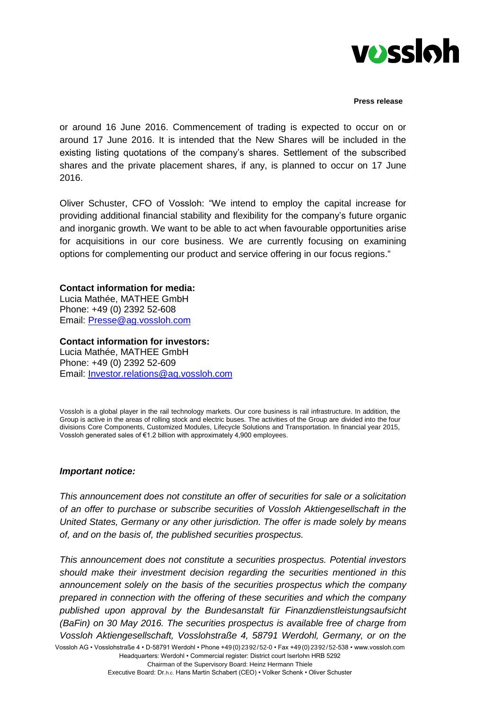

or around 16 June 2016. Commencement of trading is expected to occur on or around 17 June 2016. It is intended that the New Shares will be included in the existing listing quotations of the company's shares. Settlement of the subscribed shares and the private placement shares, if any, is planned to occur on 17 June 2016.

Oliver Schuster, CFO of Vossloh: "We intend to employ the capital increase for providing additional financial stability and flexibility for the company's future organic and inorganic growth. We want to be able to act when favourable opportunities arise for acquisitions in our core business. We are currently focusing on examining options for complementing our product and service offering in our focus regions."

## **Contact information for media:**

Lucia Mathée, MATHEE GmbH Phone: +49 (0) 2392 52-608 Email: [Presse@ag.vossloh.com](mailto:Presse@ag.vossloh.com)

### **Contact information for investors:**

Lucia Mathée, MATHEE GmbH Phone: +49 (0) 2392 52-609 Email: [Investor.relations@ag.vossloh.com](mailto:Investor.relations@ag.vossloh.com)

Vossloh is a global player in the rail technology markets. Our core business is rail infrastructure. In addition, the Group is active in the areas of rolling stock and electric buses. The activities of the Group are divided into the four divisions Core Components, Customized Modules, Lifecycle Solutions and Transportation. In financial year 2015, Vossloh generated sales of €1.2 billion with approximately 4,900 employees.

### *Important notice:*

*This announcement does not constitute an offer of securities for sale or a solicitation of an offer to purchase or subscribe securities of Vossloh Aktiengesellschaft in the United States, Germany or any other jurisdiction. The offer is made solely by means of, and on the basis of, the published securities prospectus.*

Vossloh AG • Vosslohstraße 4 • D-58791 Werdohl • Phone +49(0)2392/52-0 • Fax +49(0)2392/52-538 • www.vossloh.com Headquarters: Werdohl • Commercial register: District court Iserlohn HRB 5292 *This announcement does not constitute a securities prospectus. Potential investors should make their investment decision regarding the securities mentioned in this announcement solely on the basis of the securities prospectus which the company prepared in connection with the offering of these securities and which the company published upon approval by the Bundesanstalt für Finanzdienstleistungsaufsicht (BaFin) on 30 May 2016. The securities prospectus is available free of charge from Vossloh Aktiengesellschaft, Vosslohstraße 4, 58791 Werdohl, Germany, or on the*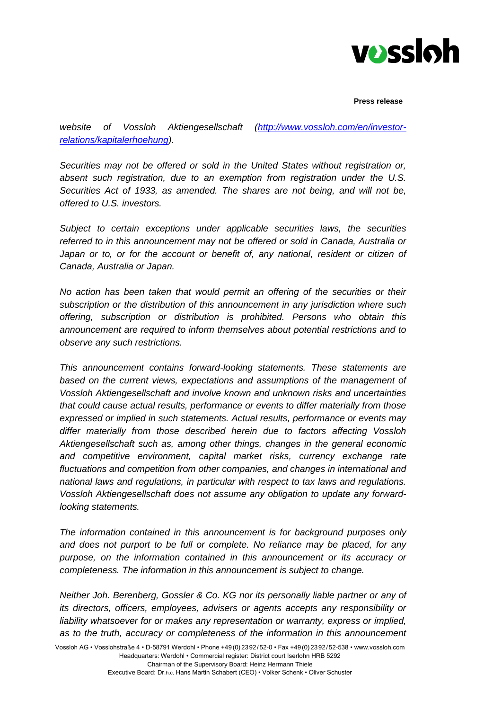

*website of Vossloh Aktiengesellschaft [\(http://www.vossloh.com/en/investor](http://www.vossloh.com/en/investor-relations/kapitalerhoehung)[relations/kapitalerhoehung\)](http://www.vossloh.com/en/investor-relations/kapitalerhoehung).*

*Securities may not be offered or sold in the United States without registration or, absent such registration, due to an exemption from registration under the U.S. Securities Act of 1933, as amended. The shares are not being, and will not be, offered to U.S. investors.*

*Subject to certain exceptions under applicable securities laws, the securities referred to in this announcement may not be offered or sold in Canada, Australia or*  Japan or to, or for the account or benefit of, any national, resident or citizen of *Canada, Australia or Japan.*

*No action has been taken that would permit an offering of the securities or their subscription or the distribution of this announcement in any jurisdiction where such offering, subscription or distribution is prohibited. Persons who obtain this announcement are required to inform themselves about potential restrictions and to observe any such restrictions.*

*This announcement contains forward-looking statements. These statements are based on the current views, expectations and assumptions of the management of Vossloh Aktiengesellschaft and involve known and unknown risks and uncertainties that could cause actual results, performance or events to differ materially from those expressed or implied in such statements. Actual results, performance or events may differ materially from those described herein due to factors affecting Vossloh Aktiengesellschaft such as, among other things, changes in the general economic and competitive environment, capital market risks, currency exchange rate fluctuations and competition from other companies, and changes in international and national laws and regulations, in particular with respect to tax laws and regulations. Vossloh Aktiengesellschaft does not assume any obligation to update any forwardlooking statements.*

*The information contained in this announcement is for background purposes only and does not purport to be full or complete. No reliance may be placed, for any purpose, on the information contained in this announcement or its accuracy or completeness. The information in this announcement is subject to change.*

*Neither Joh. Berenberg, Gossler & Co. KG nor its personally liable partner or any of its directors, officers, employees, advisers or agents accepts any responsibility or*  liability whatsoever for or makes any representation or warranty, express or implied, *as to the truth, accuracy or completeness of the information in this announcement*